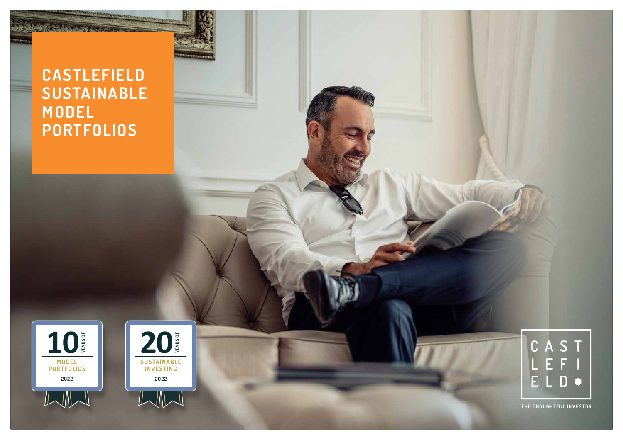# **CASTLEFIELD SUSTAINABLE MODEL PORTFOLIOS**







THE THOUGHTFUL INVESTOR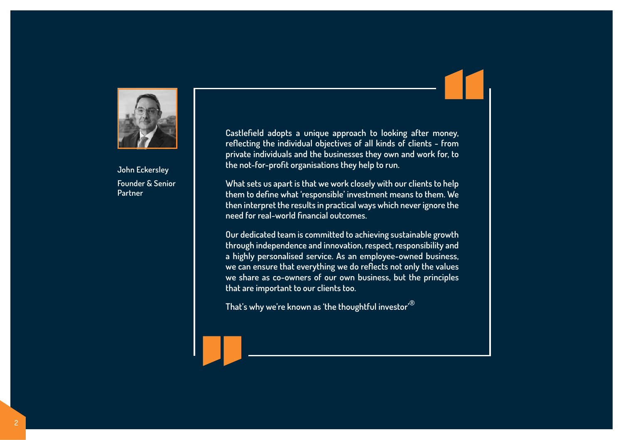

**John Eckersley Founder & Senior Partner**

**Castlefield adopts a unique approach to looking after money, reflecting the individual objectives of all kinds of clients - from private individuals and the businesses they own and work for, to the not-for-profit organisations they help to run.**

**What sets us apart is that we work closely with our clients to help them to define what 'responsible' investment means to them. We then interpret the results in practical ways which never ignore the need for real-world financial outcomes.**

**Our dedicated team is committed to achieving sustainable growth through independence and innovation, respect, responsibility and a highly personalised service. As an employee-owned business, we can ensure that everything we do reflects not only the values we share as co-owners of our own business, but the principles that are important to our clients too.**

**That's why we're known as 'the thoughtful investor'®**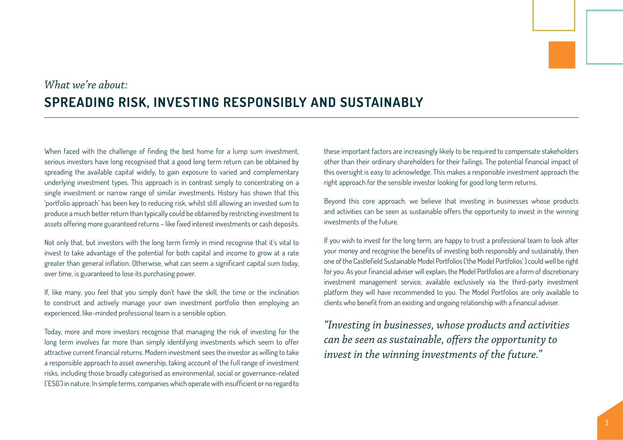# *What we're about:* **SPREADING RISK, INVESTING RESPONSIBLY AND SUSTAINABLY**

When faced with the challenge of finding the best home for a lump sum investment, serious investors have long recognised that a good long term return can be obtained by spreading the available capital widely, to gain exposure to varied and complementary underlying investment types. This approach is in contrast simply to concentrating on a single investment or narrow range of similar investments. History has shown that this 'portfolio approach' has been key to reducing risk, whilst still allowing an invested sum to produce a much better return than typically could be obtained by restricting investment to assets offering more guaranteed returns – like fixed interest investments or cash deposits.

Not only that, but investors with the long term firmly in mind recognise that it's vital to invest to take advantage of the potential for both capital and income to grow at a rate greater than general inflation. Otherwise, what can seem a significant capital sum today, over time, is guaranteed to lose its purchasing power.

If, like many, you feel that you simply don't have the skill, the time or the inclination to construct and actively manage your own investment portfolio then employing an experienced, like-minded professional team is a sensible option.

Today, more and more investors recognise that managing the risk of investing for the long term involves far more than simply identifying investments which seem to offer attractive current financial returns. Modern investment sees the investor as willing to take a responsible approach to asset ownership, taking account of the full range of investment risks, including those broadly categorised as environmental, social or governance-related ('ESG') in nature. In simple terms, companies which operate with insufficient or no regard to

these important factors are increasingly likely to be required to compensate stakeholders other than their ordinary shareholders for their failings. The potential financial impact of this oversight is easy to acknowledge. This makes a responsible investment approach the right approach for the sensible investor looking for good long term returns.

Beyond this core approach, we believe that investing in businesses whose products and activities can be seen as sustainable offers the opportunity to invest in the winning investments of the future.

If you wish to invest for the long term, are happy to trust a professional team to look after your money and recognise the benefits of investing both responsibly and sustainably, then one of the Castlefield Sustainable Model Portfolios ('the Model Portfolios' ) could well be right for you. As your financial adviser will explain, the Model Portfolios are a form of discretionary investment management service, available exclusively via the third-party investment platform they will have recommended to you. The Model Portfolios are only available to clients who benefit from an existing and ongoing relationship with a financial adviser.

*"Investing in businesses, whose products and activities can be seen as sustainable, offers the opportunity to invest in the winning investments of the future."*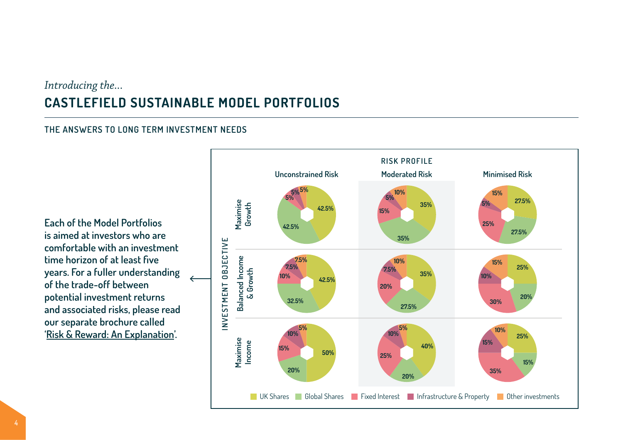## *Introducing the...* **CASTLEFIELD SUSTAINABLE MODEL PORTFOLIOS**

### **THE ANSWERS TO LONG TERM INVESTMENT NEEDS**

**Each of the Model Portfolios is aimed at investors who are comfortable with an investment time horizon of at least five years. For a fuller understanding of the trade-off between potential investment returns and associated risks, please read our separate brochure called '[Risk & Reward: An Explanation](https://www.castlefield.com/media/3102/castlefield-risk-reward-an-explanation.pdf)'.** 

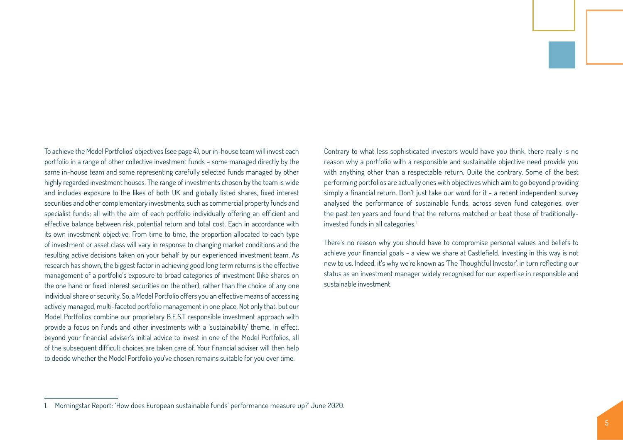To achieve the Model Portfolios' objectives (see page 4), our in-house team will invest each portfolio in a range of other collective investment funds – some managed directly by the same in-house team and some representing carefully selected funds managed by other highly regarded investment houses. The range of investments chosen by the team is wide and includes exposure to the likes of both UK and globally listed shares, fixed interest securities and other complementary investments, such as commercial property funds and specialist funds; all with the aim of each portfolio individually offering an efficient and effective balance between risk, potential return and total cost. Each in accordance with its own investment objective. From time to time, the proportion allocated to each type of investment or asset class will vary in response to changing market conditions and the resulting active decisions taken on your behalf by our experienced investment team. As research has shown, the biggest factor in achieving good long term returns is the effective management of a portfolio's exposure to broad categories of investment (like shares on the one hand or fixed interest securities on the other), rather than the choice of any one individual share or security. So, a Model Portfolio offers you an effective means of accessing actively managed, multi-faceted portfolio management in one place. Not only that, but our Model Portfolios combine our proprietary B.E.S.T responsible investment approach with provide a focus on funds and other investments with a 'sustainability' theme. In effect, beyond your financial adviser's initial advice to invest in one of the Model Portfolios, all of the subsequent difficult choices are taken care of. Your financial adviser will then help to decide whether the Model Portfolio you've chosen remains suitable for you over time.

Contrary to what less sophisticated investors would have you think, there really is no reason why a portfolio with a responsible and sustainable objective need provide you with anything other than a respectable return. Quite the contrary. Some of the best performing portfolios are actually ones with objectives which aim to go beyond providing simply a financial return. Don't just take our word for it - a recent independent survey analysed the performance of sustainable funds, across seven fund categories, over the past ten years and found that the returns matched or beat those of traditionallyinvested funds in all categories.<sup>1</sup>

There's no reason why you should have to compromise personal values and beliefs to achieve your financial goals - a view we share at Castlefield. Investing in this way is not new to us. Indeed, it's why we're known as 'The Thoughtful Investor', in turn reflecting our status as an investment manager widely recognised for our expertise in responsible and sustainable investment.

<sup>1.</sup> Morningstar Report: 'How does European sustainable funds' performance measure up?' June 2020.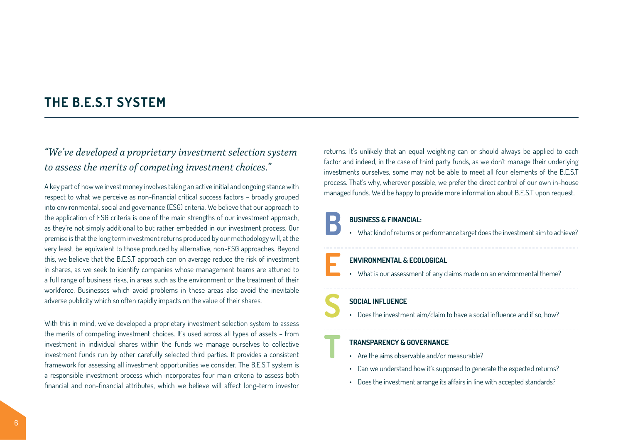### **THE B.E.S.T SYSTEM**

### *"We've developed a proprietary investment selection system to assess the merits of competing investment choices."*

A key part of how we invest money involves taking an active initial and ongoing stance with respect to what we perceive as non-financial critical success factors – broadly grouped into environmental, social and governance (ESG) criteria. We believe that our approach to the application of ESG criteria is one of the main strengths of our investment approach, as they're not simply additional to but rather embedded in our investment process. Our premise is that the long term investment returns produced by our methodology will, at the very least, be equivalent to those produced by alternative, non-ESG approaches. Beyond this, we believe that the B.E.S.T approach can on average reduce the risk of investment in shares, as we seek to identify companies whose management teams are attuned to a full range of business risks, in areas such as the environment or the treatment of their workforce. Businesses which avoid problems in these areas also avoid the inevitable adverse publicity which so often rapidly impacts on the value of their shares.

With this in mind, we've developed a proprietary investment selection system to assess the merits of competing investment choices. It's used across all types of assets – from investment in individual shares within the funds we manage ourselves to collective investment funds run by other carefully selected third parties. It provides a consistent framework for assessing all investment opportunities we consider. The B.E.S.T system is a responsible investment process which incorporates four main criteria to assess both financial and non-financial attributes, which we believe will affect long-term investor

returns. It's unlikely that an equal weighting can or should always be applied to each factor and indeed, in the case of third party funds, as we don't manage their underlying investments ourselves, some may not be able to meet all four elements of the B.E.S.T process. That's why, wherever possible, we prefer the direct control of our own in-house managed funds. We'd be happy to provide more information about B.E.S.T upon request.

**BUSINESS & FINANCIAL:**<br>• What kind of returns or performance target does the investment aim to achieve?

**ENVIRONMENTAL & ECOLOGICAL**<br>
• What is our assessment of any claims made on an environmental theme?

**SOCIAL INFLUENCE**<br>
• Does the investment aim/claim to have a social influence and if so, how?

#### **T TRANSPARENCY & GOVERNANCE**

- Are the aims observable and/or measurable?
- Can we understand how it's supposed to generate the expected returns?
- Does the investment arrange its affairs in line with accepted standards?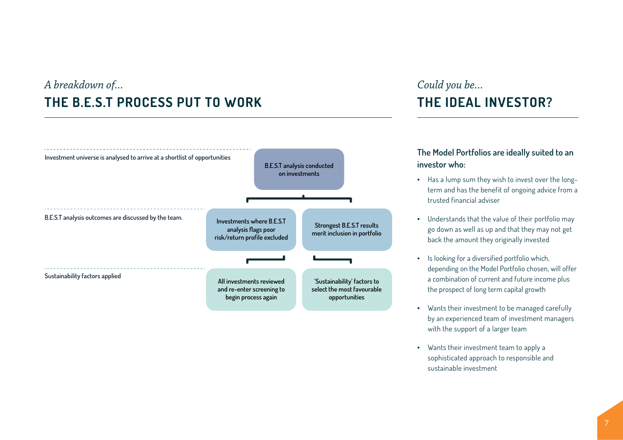## *A breakdown of...* **THE B.E.S.T PROCESS PUT TO WORK**



# *Could you be...* **THE IDEAL INVESTOR?**

### **The Model Portfolios are ideally suited to an investor who:**

- Has a lump sum they wish to invest over the longterm and has the benefit of ongoing advice from a trusted financial adviser
- Understands that the value of their portfolio may go down as well as up and that they may not get back the amount they originally invested
- Is looking for a diversified portfolio which, depending on the Model Portfolio chosen, will offer a combination of current and future income plus the prospect of long term capital growth
- Wants their investment to be managed carefully by an experienced team of investment managers with the support of a larger team
- Wants their investment team to apply a sophisticated approach to responsible and sustainable investment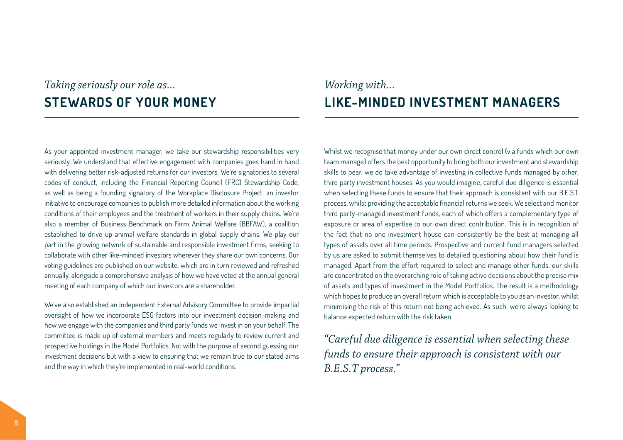### *Taking seriously our role as...* **STEWARDS OF YOUR MONEY**

As your appointed investment manager, we take our stewardship responsibilities very seriously. We understand that effective engagement with companies goes hand in hand with delivering better risk-adjusted returns for our investors. We're signatories to several codes of conduct, including the Financial Reporting Council (FRC) Stewardship Code, as well as being a founding signatory of the Workplace Disclosure Project, an investor initiative to encourage companies to publish more detailed information about the working conditions of their employees and the treatment of workers in their supply chains. We're also a member of Business Benchmark on Farm Animal Welfare (BBFAW), a coalition established to drive up animal welfare standards in global supply chains. We play our part in the growing network of sustainable and responsible investment firms, seeking to collaborate with other like-minded investors wherever they share our own concerns. Our voting guidelines are published on our website, which are in turn reviewed and refreshed annually, alongside a comprehensive analysis of how we have voted at the annual general meeting of each company of which our investors are a shareholder.

We've also established an independent External Advisory Committee to provide impartial oversight of how we incorporate ESG factors into our investment decision-making and how we engage with the companies and third party funds we invest in on your behalf. The committee is made up of external members and meets regularly to review current and prospective holdings in the Model Portfolios. Not with the purpose of second guessing our investment decisions but with a view to ensuring that we remain true to our stated aims and the way in which they're implemented in real-world conditions.

## *Working with...* **LIKE-MINDED INVESTMENT MANAGERS**

Whilst we recognise that money under our own direct control (via funds which our own team manage) offers the best opportunity to bring both our investment and stewardship skills to bear, we do take advantage of investing in collective funds managed by other, third party investment houses. As you would imagine, careful due diligence is essential when selecting these funds to ensure that their approach is consistent with our B.E.S.T process, whilst providing the acceptable financial returns we seek. We select and monitor third party-managed investment funds, each of which offers a complementary type of exposure or area of expertise to our own direct contribution. This is in recognition of the fact that no one investment house can consistently be the best at managing all types of assets over all time periods. Prospective and current fund managers selected by us are asked to submit themselves to detailed questioning about how their fund is managed. Apart from the effort required to select and manage other funds, our skills are concentrated on the overarching role of taking active decisions about the precise mix of assets and types of investment in the Model Portfolios. The result is a methodology which hopes to produce an overall return which is acceptable to you as an investor, whilst minimising the risk of this return not being achieved. As such, we're always looking to balance expected return with the risk taken.

*"Careful due diligence is essential when selecting these funds to ensure their approach is consistent with our B.E.S.T process."*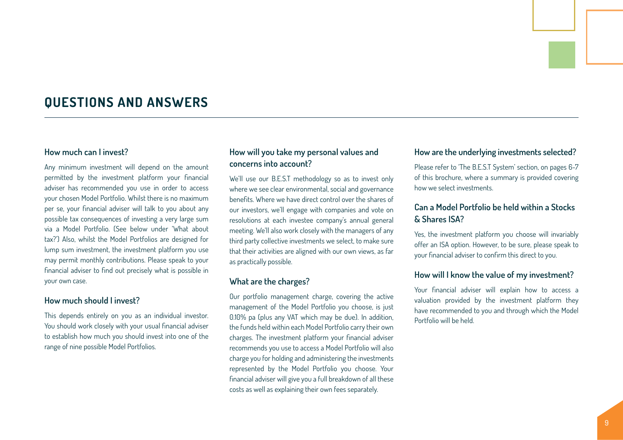### **QUESTIONS AND ANSWERS**

#### **How much can I invest?**

Any minimum investment will depend on the amount permitted by the investment platform your financial adviser has recommended you use in order to access your chosen Model Portfolio. Whilst there is no maximum per se, your financial adviser will talk to you about any possible tax consequences of investing a very large sum via a Model Portfolio. (See below under 'What about tax?') Also, whilst the Model Portfolios are designed for lump sum investment, the investment platform you use may permit monthly contributions. Please speak to your financial adviser to find out precisely what is possible in your own case.

#### **How much should I invest?**

This depends entirely on you as an individual investor. You should work closely with your usual financial adviser to establish how much you should invest into one of the range of nine possible Model Portfolios.

#### **How will you take my personal values and concerns into account?**

We'll use our B.E.S.T methodology so as to invest only where we see clear environmental, social and governance benefits. Where we have direct control over the shares of our investors, we'll engage with companies and vote on resolutions at each investee company's annual general meeting. We'll also work closely with the managers of any third party collective investments we select, to make sure that their activities are aligned with our own views, as far as practically possible.

#### **What are the charges?**

Our portfolio management charge, covering the active management of the Model Portfolio you choose, is just 0.10% pa (plus any VAT which may be due). In addition, the funds held within each Model Portfolio carry their own charges. The investment platform your financial adviser recommends you use to access a Model Portfolio will also charge you for holding and administering the investments represented by the Model Portfolio you choose. Your financial adviser will give you a full breakdown of all these costs as well as explaining their own fees separately.

#### **How are the underlying investments selected?**

Please refer to 'The B.E.S.T System' section, on pages 6-7 of this brochure, where a summary is provided covering how we select investments.

### **Can a Model Portfolio be held within a Stocks & Shares ISA?**

Yes, the investment platform you choose will invariably offer an ISA option. However, to be sure, please speak to your financial adviser to confirm this direct to you.

#### **How will I know the value of my investment?**

Your financial adviser will explain how to access a valuation provided by the investment platform they have recommended to you and through which the Model Portfolio will be held.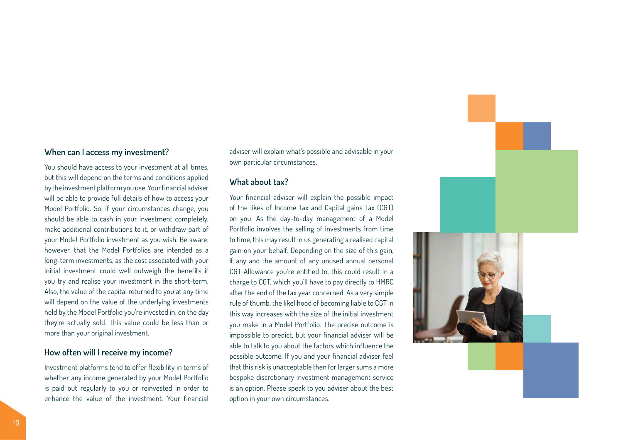#### **When can I access my investment?**

You should have access to your investment at all times, but this will depend on the terms and conditions applied by the investment platform you use. Your financial adviser will be able to provide full details of how to access your Model Portfolio. So, if your circumstances change, you should be able to cash in your investment completely, make additional contributions to it, or withdraw part of your Model Portfolio investment as you wish. Be aware, however, that the Model Portfolios are intended as a long-term investments, as the cost associated with your initial investment could well outweigh the benefits if you try and realise your investment in the short-term. Also, the value of the capital returned to you at any time will depend on the value of the underlying investments held by the Model Portfolio you're invested in, on the day they're actually sold. This value could be less than or more than your original investment.

#### **How often will I receive my income?**

Investment platforms tend to offer flexibility in terms of whether any income generated by your Model Portfolio is paid out regularly to you or reinvested in order to enhance the value of the investment. Your financial

adviser will explain what's possible and advisable in your own particular circumstances.

#### **What about tax?**

Your financial adviser will explain the possible impact of the likes of Income Tax and Capital gains Tax (CGT) on you. As the day-to-day management of a Model Portfolio involves the selling of investments from time to time, this may result in us generating a realised capital gain on your behalf. Depending on the size of this gain, if any and the amount of any unused annual personal CGT Allowance you're entitled to, this could result in a charge to CGT, which you'll have to pay directly to HMRC after the end of the tax year concerned. As a very simple rule of thumb, the likelihood of becoming liable to CGT in this way increases with the size of the initial investment you make in a Model Portfolio. The precise outcome is impossible to predict, but your financial adviser will be able to talk to you about the factors which influence the possible outcome. If you and your financial adviser feel that this risk is unacceptable then for larger sums a more bespoke discretionary investment management service is an option. Please speak to you adviser about the best option in your own circumstances.

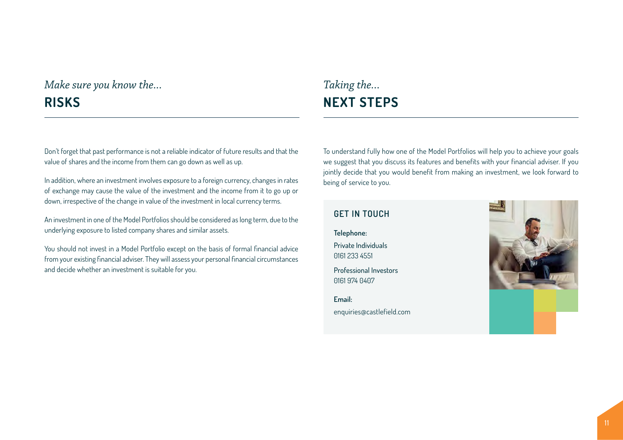## *Make sure you know the...* **RISKS**

#### Don't forget that past performance is not a reliable indicator of future results and that the value of shares and the income from them can go down as well as up.

In addition, where an investment involves exposure to a foreign currency, changes in rates of exchange may cause the value of the investment and the income from it to go up or down, irrespective of the change in value of the investment in local currency terms.

An investment in one of the Model Portfolios should be considered as long term, due to the underlying exposure to listed company shares and similar assets.

You should not invest in a Model Portfolio except on the basis of formal financial advice from your existing financial adviser. They will assess your personal financial circumstances and decide whether an investment is suitable for you.

To understand fully how one of the Model Portfolios will help you to achieve your goals we suggest that you discuss its features and benefits with your financial adviser. If you jointly decide that you would benefit from making an investment, we look forward to being of service to you.

### **GET IN TOUCH**

*Taking the...*

**NEXT STEPS**

**Telephone:** Private Individuals 0161 233 4551

Professional Investors 0161 974 0407

**Email:** enquiries@castlefield.com